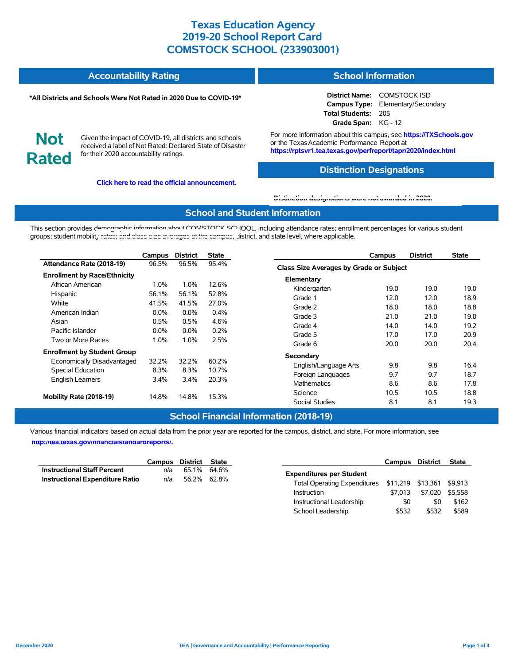#### **Accountability Rating School Information**

#### **\*All Districts and Schools Were Not Rated in 2020 Due to COVID-19\***

**District Name:** COMSTOCK ISD **Campus Type:** Elementary/Secondary **Total Students:** 205 **Grade Span:** KG - 12

**Not Rated**

Given the impact of COVID-19, all districts and schools received a label of Not Rated: Declared State of Disaster for their 2020 accountability ratings.

**Click here to read the official announcement.**

For more information about this campus, see **https://TXSchools.gov** or the Texas Academic Performance Report at **https://rptsvr1.tea.texas.gov/perfreport/tapr/2020/index.html**

#### **Distinction Designations**

School Leadership \$532 \$532 \$589

# **[Distinction designations were not awarded in 2020.](https://rptsvr1.tea.texas.gov/perfreport/tapr/2020/index.html)**

### **School and Student Information**

This section provides demographic information about COMSTOCK SCHOOL, including attendance rates; enrollment percentages for various student groups; student mobilit[y rates; and class size averages at the campus, d](https://tea.texas.gov/about-tea/news-and-multimedia/correspondence/taa-letters/every-student-succeeds-act-essa-waiver-approval-2020-state-academic-accountability)istrict, and state level, where applicable.

|                                     | Campus         | <b>District</b> | <b>State</b> |                                         | Campus | <b>District</b> | <b>State</b> |
|-------------------------------------|----------------|-----------------|--------------|-----------------------------------------|--------|-----------------|--------------|
| Attendance Rate (2018-19)           | 96.5%          | 96.5%           | 95.4%        | Class Size Averages by Grade or Subject |        |                 |              |
| <b>Enrollment by Race/Ethnicity</b> |                |                 |              |                                         |        |                 |              |
| African American                    | $1.0\%$        | 1.0%            | 12.6%        | Elementary<br>Kindergarten              | 19.0   | 19.0            | 19.0         |
| Hispanic                            | 56.1%          | 56.1%           | 52.8%        | Grade 1                                 | 12.0   | 12.0            | 18.9         |
| White                               | 41.5%          | 41.5%           | 27.0%        | Grade 2                                 | 18.0   | 18.0            | 18.8         |
| American Indian                     | $0.0\%$        | $0.0\%$         | $0.4\%$      | Grade 3                                 | 21.0   | 21.0            | 19.0         |
| Asian                               | 0.5%           | 0.5%            | 4.6%         | Grade 4                                 | 14.0   | 14.0            | 19.2         |
| Pacific Islander                    | $0.0\%$        | $0.0\%$         | 0.2%         | Grade 5                                 | 17.0   | 17.0            | 20.9         |
| Two or More Races                   | 1.0%           | 1.0%            | 2.5%         | Grade 6                                 | 20.0   | 20.0            | 20.4         |
| <b>Enrollment by Student Group</b>  |                |                 |              |                                         |        |                 |              |
| Economically Disadvantaged          | 32.2%          | 32.2%           | 60.2%        | Secondary                               |        |                 |              |
| Special Education                   | 8.3%           | 8.3%            | 10.7%        | English/Language Arts                   | 9.8    | 9.8             | 16.4         |
| <b>English Learners</b>             | $3.4\%$        | 3.4%            | 20.3%        | Foreign Languages                       | 9.7    | 9.7             | 18.7         |
|                                     |                |                 |              | Mathematics                             | 8.6    | 8.6             | 17.8         |
| Mobility Rate (2018-19)             | 14.8%<br>14.8% |                 | 15.3%        | Science                                 | 10.5   | 10.5            | 18.8         |
|                                     |                |                 |              | <b>Social Studies</b>                   | 8.1    | 8.1             | 19.3         |

### **School Financial Information (2018-19)**

Various financial indicators based on actual data from the prior year are reported for the campus, district, and state. For more information, see

**[http://tea.texas.gov/financialstandardreports/.](http://tea.texas.gov/financialstandardreports/)**

|                                        | Campus | District    | State   |                                                        | <b>Campus</b> | District | <b>State</b> |
|----------------------------------------|--------|-------------|---------|--------------------------------------------------------|---------------|----------|--------------|
| <b>Instructional Staff Percent</b>     | n/a    | 65.1% 64.6% |         | <b>Expenditures per Student</b>                        |               |          |              |
| <b>Instructional Expenditure Ratio</b> | n/a    | 56.2%       | 62.8%   | Total Operating Expenditures \$11,219 \$13,361 \$9,913 |               |          |              |
|                                        |        | Instruction | \$7.013 | \$7.020                                                | \$5.558       |          |              |
|                                        |        |             |         | Instructional Leadership                               | \$0           | \$0      | \$162        |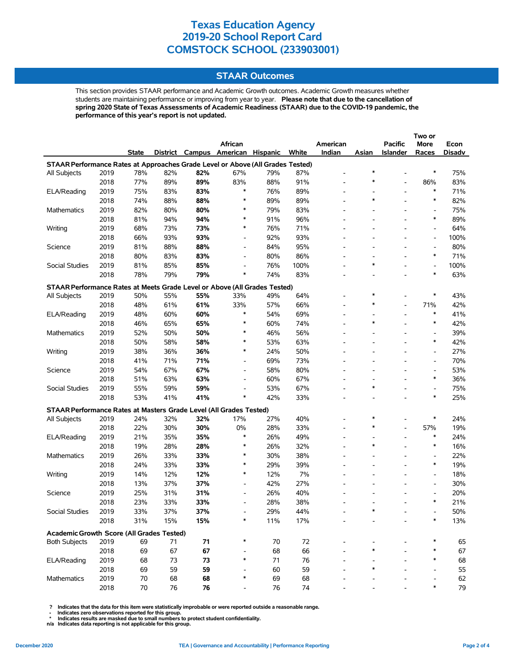### **STAAR Outcomes**

This section provides STAAR performance and Academic Growth outcomes. Academic Growth measures whether students are maintaining performance or improving from year to year. **Please note that due to the cancellation of spring 2020 State of Texas Assessments of Academic Readiness (STAAR) due to the COVID-19 pandemic, the performance of this year's report is not updated.**

|                                                                                    |      |       |     |     |                          |                 |       |                          |                          |                          | Two or                   |        |
|------------------------------------------------------------------------------------|------|-------|-----|-----|--------------------------|-----------------|-------|--------------------------|--------------------------|--------------------------|--------------------------|--------|
|                                                                                    |      |       |     |     | African                  |                 |       | American                 |                          | <b>Pacific</b>           | More                     | Econ   |
|                                                                                    |      | State |     |     | District Campus American | <b>Hispanic</b> | White | Indian                   | Asian                    | <b>Islander</b>          | Races                    | Disadv |
| STAAR Performance Rates at Approaches Grade Level or Above (All Grades Tested)     |      |       |     |     |                          |                 |       |                          |                          |                          |                          |        |
| All Subjects                                                                       | 2019 | 78%   | 82% | 82% | 67%                      | 79%             | 87%   | $\overline{\phantom{0}}$ | $\ast$                   |                          | $\ast$                   | 75%    |
|                                                                                    | 2018 | 77%   | 89% | 89% | 83%                      | 88%             | 91%   | $\overline{a}$           | $\ast$                   | $\overline{a}$           | 86%                      | 83%    |
| ELA/Reading                                                                        | 2019 | 75%   | 83% | 83% | $\ast$                   | 76%             | 89%   | $\overline{\phantom{0}}$ | $\overline{a}$           | $\overline{\phantom{a}}$ | $\ast$                   | 71%    |
|                                                                                    | 2018 | 74%   | 88% | 88% | $\ast$                   | 89%             | 89%   |                          | $\ast$                   | $\overline{\phantom{a}}$ | $\ast$                   | 82%    |
| Mathematics                                                                        | 2019 | 82%   | 80% | 80% | $\ast$                   | 79%             | 83%   |                          |                          |                          | $\overline{\phantom{a}}$ | 75%    |
|                                                                                    | 2018 | 81%   | 94% | 94% | $\ast$                   | 91%             | 96%   | $\overline{\phantom{0}}$ | $\overline{a}$           | $\overline{\phantom{a}}$ | $\ast$                   | 89%    |
| Writing                                                                            | 2019 | 68%   | 73% | 73% | $\ast$                   | 76%             | 71%   |                          |                          |                          | $\overline{\phantom{a}}$ | 64%    |
|                                                                                    | 2018 | 66%   | 93% | 93% | $\overline{\phantom{0}}$ | 92%             | 93%   |                          |                          |                          | $\overline{\phantom{a}}$ | 100%   |
| Science                                                                            | 2019 | 81%   | 88% | 88% | $\overline{\phantom{a}}$ | 84%             | 95%   |                          |                          |                          | Ĭ.                       | 80%    |
|                                                                                    | 2018 | 80%   | 83% | 83% | $\overline{\phantom{0}}$ | 80%             | 86%   |                          | $\overline{a}$           |                          | $\ast$                   | 71%    |
| Social Studies                                                                     | 2019 | 81%   | 85% | 85% | $\overline{a}$           | 76%             | 100%  |                          | $\ast$                   |                          | $\overline{\phantom{a}}$ | 100%   |
|                                                                                    | 2018 | 78%   | 79% | 79% | $\ast$                   | 74%             | 83%   | $\overline{\phantom{0}}$ | $\overline{\phantom{a}}$ | $\overline{\phantom{a}}$ | $\ast$                   | 63%    |
| STAAR Performance Rates at Meets Grade Level or Above (All Grades Tested)          |      |       |     |     |                          |                 |       |                          |                          |                          |                          |        |
| All Subjects                                                                       | 2019 | 50%   | 55% | 55% | 33%                      | 49%             | 64%   |                          | *                        |                          | $\ast$                   | 43%    |
|                                                                                    | 2018 | 48%   | 61% | 61% | 33%                      | 57%             | 66%   | $\overline{\phantom{0}}$ | $\ast$                   | $\overline{\phantom{a}}$ | 71%                      | 42%    |
| ELA/Reading                                                                        | 2019 | 48%   | 60% | 60% | $\ast$                   | 54%             | 69%   |                          | $\overline{a}$           | $\overline{\phantom{a}}$ | $\ast$                   | 41%    |
|                                                                                    | 2018 | 46%   | 65% | 65% | $\ast$                   | 60%             | 74%   |                          | $\ast$                   |                          | $\ast$                   | 42%    |
| Mathematics                                                                        | 2019 | 52%   | 50% | 50% | $\ast$                   | 46%             | 56%   | $\overline{\phantom{0}}$ | ۰                        | $\overline{\phantom{a}}$ | $\blacksquare$           | 39%    |
|                                                                                    | 2018 | 50%   | 58% | 58% | $\ast$                   | 53%             | 63%   |                          | $\overline{a}$           |                          | $\ast$                   | 42%    |
| Writing                                                                            | 2019 | 38%   | 36% | 36% | $\ast$                   | 24%             | 50%   |                          |                          |                          | $\overline{\phantom{a}}$ | 27%    |
|                                                                                    | 2018 | 41%   | 71% | 71% | $\overline{\phantom{a}}$ | 69%             | 73%   | $\overline{\phantom{0}}$ | $\overline{\phantom{a}}$ | $\overline{\phantom{a}}$ | $\overline{\phantom{a}}$ | 70%    |
| Science                                                                            | 2019 | 54%   | 67% | 67% | $\overline{\phantom{a}}$ | 58%             | 80%   |                          |                          |                          | $\overline{\phantom{a}}$ | 53%    |
|                                                                                    | 2018 | 51%   | 63% | 63% | $\overline{\phantom{a}}$ | 60%             | 67%   |                          |                          |                          | $\ast$                   | 36%    |
| Social Studies                                                                     | 2019 | 55%   | 59% | 59% | $\overline{a}$           | 53%             | 67%   |                          | $\ast$                   |                          | $\overline{\phantom{a}}$ | 75%    |
|                                                                                    | 2018 | 53%   | 41% | 41% | ∗                        | 42%             | 33%   |                          |                          |                          | $\ast$                   | 25%    |
|                                                                                    |      |       |     |     |                          |                 |       |                          |                          |                          |                          |        |
| STAAR Performance Rates at Masters Grade Level (All Grades Tested)<br>All Subjects | 2019 | 24%   | 32% | 32% | 17%                      | 27%             | 40%   |                          | *                        |                          | $\ast$                   | 24%    |
|                                                                                    | 2018 | 22%   | 30% | 30% | 0%                       | 28%             | 33%   |                          | $\ast$                   |                          | 57%                      | 19%    |
| ELA/Reading                                                                        | 2019 | 21%   | 35% | 35% | $\ast$                   | 26%             | 49%   |                          | $\overline{a}$           | $\overline{a}$           | $\ast$                   | 24%    |
|                                                                                    | 2018 | 19%   | 28% | 28% | $\ast$                   | 26%             | 32%   | $\blacksquare$           | *                        |                          | $\ast$                   | 16%    |
| Mathematics                                                                        | 2019 | 26%   | 33% | 33% | $\ast$                   | 30%             | 38%   |                          |                          |                          | $\overline{\phantom{a}}$ | 22%    |
|                                                                                    | 2018 | 24%   | 33% | 33% | $\ast$                   | 29%             | 39%   |                          |                          |                          | $\ast$                   | 19%    |
| Writing                                                                            | 2019 | 14%   | 12% | 12% | $\ast$                   | 12%             | 7%    |                          |                          |                          | $\overline{\phantom{a}}$ | 18%    |
|                                                                                    | 2018 | 13%   | 37% | 37% | $\overline{\phantom{a}}$ | 42%             | 27%   |                          |                          |                          | $\overline{\phantom{a}}$ | 30%    |
| Science                                                                            | 2019 | 25%   | 31% | 31% | $\overline{\phantom{0}}$ | 26%             | 40%   |                          |                          |                          | $\overline{\phantom{a}}$ | 20%    |
|                                                                                    | 2018 | 23%   | 33% | 33% | $\overline{\phantom{0}}$ | 28%             | 38%   |                          |                          |                          | $\ast$                   | 21%    |
| Social Studies                                                                     | 2019 | 33%   | 37% | 37% |                          | 29%             | 44%   |                          |                          |                          |                          | 50%    |
|                                                                                    | 2018 | 31%   | 15% | 15% |                          | 11%             | 17%   |                          |                          |                          | ∗                        | 13%    |
|                                                                                    |      |       |     |     |                          |                 |       |                          |                          |                          |                          |        |
| Academic Growth Score (All Grades Tested)                                          |      |       |     |     |                          |                 |       |                          |                          |                          |                          |        |
| <b>Both Subjects</b>                                                               | 2019 | 69    | 71  | 71  |                          | 70              | 72    |                          |                          |                          |                          | 65     |
|                                                                                    | 2018 | 69    | 67  | 67  |                          | 68              | 66    |                          |                          |                          |                          | 67     |
| ELA/Reading                                                                        | 2019 | 68    | 73  | 73  | $\ast$                   | 71              | 76    |                          |                          |                          | $\ast$                   | 68     |
|                                                                                    | 2018 | 69    | 59  | 59  |                          | 60              | 59    |                          | $\ast$                   |                          |                          | 55     |
| Mathematics                                                                        | 2019 | 70    | 68  | 68  | *                        | 69              | 68    |                          |                          |                          |                          | 62     |
|                                                                                    | 2018 | 70    | 76  | 76  |                          | 76              | 74    |                          |                          |                          | $\ast$                   | 79     |

 **? Indicates that the data for this item were statistically improbable or were reported outside a reasonable range.**

 **- Indicates zero observations reported for this group. \* Indicates results are masked due to small numbers to protect student confidentiality.**

**n/a Indicates data reporting is not applicable for this group.**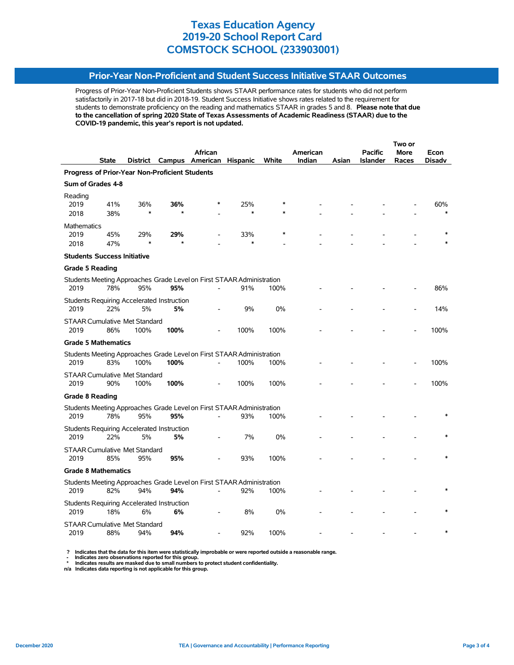### **Prior-Year Non-Proficient and Student Success Initiative STAAR Outcomes**

Progress of Prior-Year Non-Proficient Students shows STAAR performance rates for students who did not perform satisfactorily in 2017-18 but did in 2018-19. Student Success Initiative shows rates related to the requirement for students to demonstrate proficiency on the reading and mathematics STAAR in grades 5 and 8. **Please note that due to the cancellation of spring 2020 State of Texas Assessments of Academic Readiness (STAAR) due to the COVID-19 pandemic, this year's report is not updated.**

|                                                |                                    |                                              |                                                         |                                                                       |               |       |          | Two or |                 |       |        |  |
|------------------------------------------------|------------------------------------|----------------------------------------------|---------------------------------------------------------|-----------------------------------------------------------------------|---------------|-------|----------|--------|-----------------|-------|--------|--|
|                                                |                                    |                                              |                                                         | African                                                               |               |       | American |        | <b>Pacific</b>  | More  | Econ   |  |
|                                                | <b>State</b>                       |                                              |                                                         | District Campus American Hispanic                                     |               | White | Indian   | Asian  | <b>Islander</b> | Races | Disadv |  |
| Progress of Prior-Year Non-Proficient Students |                                    |                                              |                                                         |                                                                       |               |       |          |        |                 |       |        |  |
|                                                | Sum of Grades 4-8                  |                                              |                                                         |                                                                       |               |       |          |        |                 |       |        |  |
| Reading<br>2019<br>2018                        | 41%<br>38%                         | 36%<br>$\ast$                                | 36%                                                     |                                                                       | 25%<br>$\ast$ |       |          |        |                 |       | 60%    |  |
|                                                |                                    |                                              |                                                         |                                                                       |               |       |          |        |                 |       |        |  |
| <b>Mathematics</b><br>2019<br>2018             | 45%<br>47%                         | 29%                                          | 29%                                                     |                                                                       | 33%<br>$\ast$ |       |          |        |                 |       |        |  |
|                                                | <b>Students Success Initiative</b> |                                              |                                                         |                                                                       |               |       |          |        |                 |       |        |  |
| <b>Grade 5 Reading</b>                         |                                    |                                              |                                                         |                                                                       |               |       |          |        |                 |       |        |  |
| 2019                                           | 78%                                | 95%                                          | 95%                                                     | Students Meeting Approaches Grade Level on First STAAR Administration | 91%           | 100%  |          |        |                 |       | 86%    |  |
| 2019                                           | 22%                                | 5%                                           | <b>Students Requiring Accelerated Instruction</b><br>5% |                                                                       | 9%            | 0%    |          |        |                 |       | 14%    |  |
| 2019                                           | 86%                                | <b>STAAR Cumulative Met Standard</b><br>100% | 100%                                                    |                                                                       | 100%          | 100%  |          |        |                 |       | 100%   |  |
|                                                | <b>Grade 5 Mathematics</b>         |                                              |                                                         |                                                                       |               |       |          |        |                 |       |        |  |
|                                                |                                    |                                              |                                                         | Students Meeting Approaches Grade Level on First STAAR Administration |               |       |          |        |                 |       |        |  |
| 2019                                           | 83%                                | 100%                                         | 100%                                                    |                                                                       | 100%          | 100%  |          |        |                 |       | 100%   |  |
| 2019                                           | 90%                                | <b>STAAR Cumulative Met Standard</b><br>100% | 100%                                                    |                                                                       | 100%          | 100%  |          |        |                 |       | 100%   |  |
| Grade 8 Reading                                |                                    |                                              |                                                         |                                                                       |               |       |          |        |                 |       |        |  |
|                                                |                                    |                                              |                                                         | Students Meeting Approaches Grade Level on First STAAR Administration |               |       |          |        |                 |       |        |  |
| 2019                                           | 78%                                | 95%                                          | 95%                                                     |                                                                       | 93%           | 100%  |          |        |                 |       |        |  |
| 2019                                           | 22%                                | 5%                                           | Students Requiring Accelerated Instruction<br>5%        |                                                                       | 7%            | 0%    |          |        |                 |       |        |  |
| 2019                                           | 85%                                | <b>STAAR Cumulative Met Standard</b><br>95%  | 95%                                                     |                                                                       | 93%           | 100%  |          |        |                 |       |        |  |
|                                                | <b>Grade 8 Mathematics</b>         |                                              |                                                         |                                                                       |               |       |          |        |                 |       |        |  |
|                                                |                                    |                                              |                                                         | Students Meeting Approaches Grade Level on First STAAR Administration |               |       |          |        |                 |       |        |  |
| 2019                                           | 82%                                | 94%                                          | 94%                                                     |                                                                       | 92%           | 100%  |          |        |                 |       |        |  |
| 2019                                           | 18%                                | 6%                                           | Students Requiring Accelerated Instruction<br>6%        |                                                                       | 8%            | 0%    |          |        |                 |       |        |  |
| 2019                                           | 88%                                | <b>STAAR Cumulative Met Standard</b><br>94%  | 94%                                                     |                                                                       | 92%           | 100%  |          |        |                 |       |        |  |

? Indicates that the data for this item were statistically improbable or were reported outside a reasonable range.<br>- Indicates zero observations reported for this group.<br>\* Indicates results are masked due to small numbers

**n/a Indicates data reporting is not applicable for this group.**